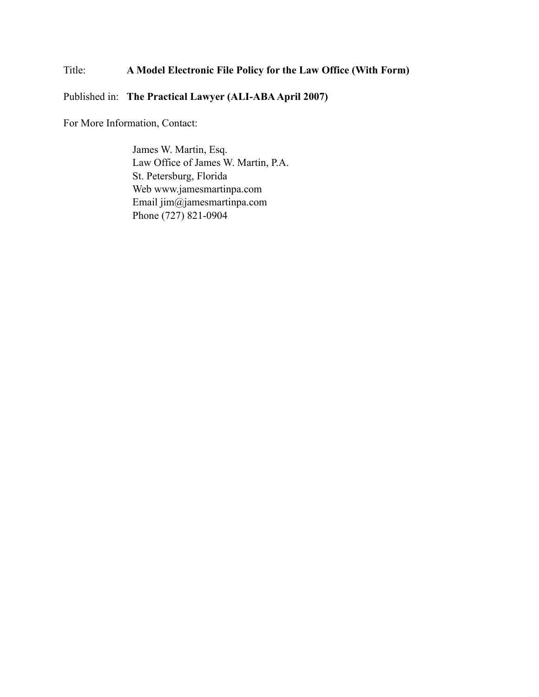# Title: **A Model Electronic File Policy for the Law Office (With Form)**

#### Published in: **The Practical Lawyer (ALI-ABA April 2007)**

For More Information, Contact:

James W. Martin, Esq. Law Office of James W. Martin, P.A. St. Petersburg, Florida Web www.jamesmartinpa.com Email jim@jamesmartinpa.com Phone (727) 821-0904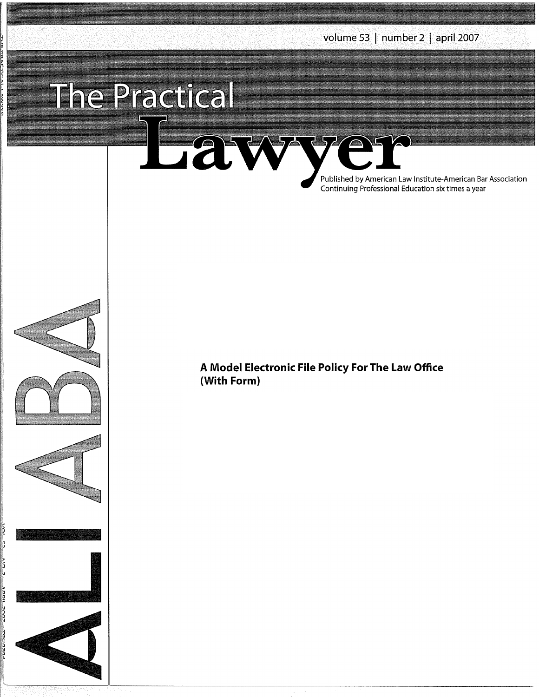# The Practical

Lawy Published by American Law Institute-American Bar Association Continuing Professional Education six times a year









**A Model Electronic File Policy For The Law Office (With Form}**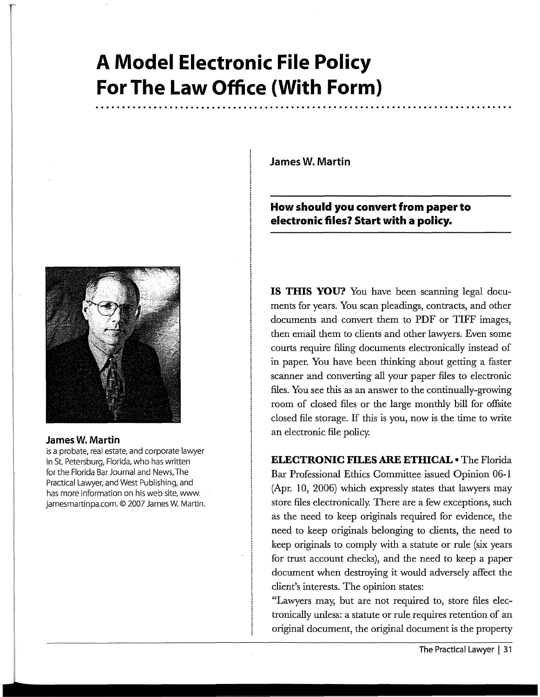# **A Model Electronic File Policy For The Law Office (With Form)**



#### **James W. Martin**

is a probate, real estate, and corporate lawyer in St. Petersburg, Florida, who has written for the Florida Bar Journal and News, The Practical Lawyer, and West Publishing, and has more information on his web site, www. jamesmartinpa.com. © 2007 James W. Martin. **James W. Martin** 

## **How should you convert from paper to electronic files? Start with a policy.**

**IS THIS YOU?** You have been scanning legal documents for years. You scan pleadings, contracts, and other documents and convert them to PDF or TIFF images, then email them to clients and other lawyers. Even some courts require filing documents electronically instead of in paper. You have been thinking about getting a faster scanner and converting all your paper files to electronic files. You see this as an answer to the continually-growing room of closed files or the large monthly bill for offsite closed file storage. If this is you, now is the time to write an electronic file policy.

**ELECTRONIC FILES ARE ETHICAL•** The Florida Bar Professional Ethics Committee issued Opinion 06-1 (Apr. 10, 2006) which expressly states that lawyers may store files electronically. There are a few exceptions, such as the need to keep originals required for evidence, the need to keep originals belonging to clients, the need to keep originals to comply with a statute or rule (six years for trust account checks), and the need to keep a paper document when destroying it would adversely affect the client's interests. The opinion states:

"Lawyers may, but are not required to, store files electronically unless: a statute or rule requires retention of an original document, the original document is the property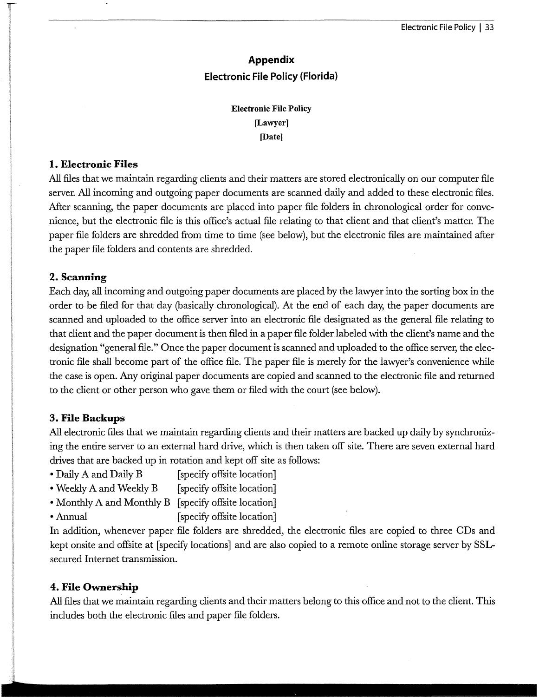# **Appendix Electronic File Policy (Florida)**

## **Electronic File Policy [Lawyer] (Date]**

#### **I. Electronic Files**

All files that we maintain regarding clients and their matters are stored electronically on our computer file server. All incoming and outgoing paper documents are scanned daily and added to these electronic files. After scanning, the paper documents are placed into paper file folders in chronological order for convenience, but the electronic file is this office's actual file relating to that client and that client's matter. The paper file folders are shredded from time to time (see below), but the electronic files are maintained after the paper file folders and contents are shredded.

#### **2. Scanning**

Each day, all incoming and outgoing paper documents are placed by the lawyer into the sorting box in the order to be filed for that day (basically chronological). At the end of each day, the paper documents are scanned and uploaded to the office server into an electronic file designated as the general file relating to that client and the paper document is then filed in a paper file folder.labeled with the client's name and the designation "general file." Once the paper document is scanned and uploaded to the office server, the electronic file shall become part of the office file. The paper file is merely for the lawyer's convenience while the case is open. Any original paper documents are copied and scanned to the electronic file and returned to the client or other person who gave them or filed with the court (see below).

#### **3. File Backups**

All electronic files that we maintain regarding clients and their matters are backed up daily by synchronizing the entire server to an external hard drive, which is then taken off site. There are seven external hard drives that are backed up in rotation and kept off site as follows:

- Daily A and Daily B [specify offsite location]
- Weekly A and Weekly B [specify offsite location]
- Monthly A and Monthly B [specify offsite location]
- Annual [specify offsite location]

In addition, whenever paper file folders are shredded, the electronic files are copied to three CDs and kept onsite and offsite at [specify locations] and are also copied to a remote online storage server by SSLsecured Internet transmission.

#### **4. File Ownership**

All files that we maintain regarding clients and their matters belong to this office and not to the client. This includes both the electronic files and paper file folders.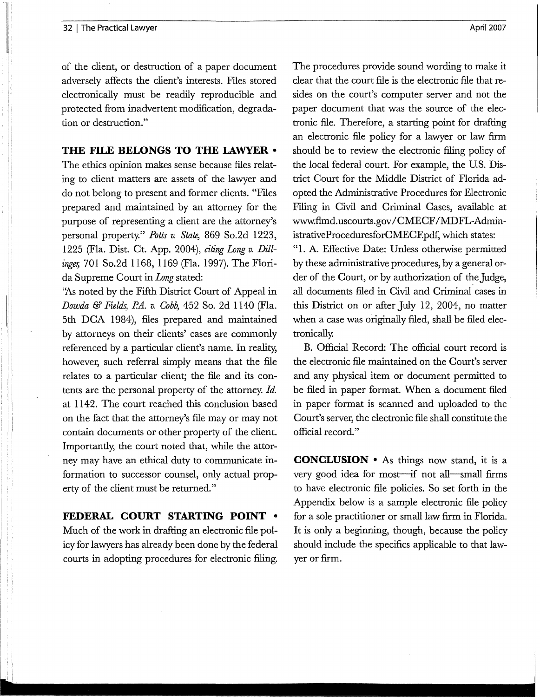of the client, or destruction of a paper document adversely affects the client's interests. Files stored electronically must be readily reproducible and protected from inadvertent modification, degradation or destruction."

#### **THE FILE BELONGS TO THE LAWYER** •

The ethics opinion makes sense because files relating to client matters are assets of the lawyer and do not belong to present and former clients. "Files prepared and maintained by an attorney for the purpose of representing a client are the attorney's personal property." *Potts v. State,* 869 So.2d 1223, 1225 (Fla. Dist. Ct. App. 2004), *citing Long v. Dillinge,;* 701 So.2d 1168, 1169 (Fla. 1997). The Florida Supreme Court in *Long* stated:

"As noted by the Fifth District Court of Appeal in *Dowda* & *Fields, P.A. v. Cobb,* 452 So. 2d 1140 (Fla. 5th **DCA** 1984), files prepared and maintained by attorneys on their clients' cases are commonly referenced by a particular client's name. In reality, however, such referral simply means that the file relates to a particular client; the file and its contents are the personal property of the attorney. *Id.*  at 1142. The court reached this conclusion based on the fact that the attorney's file may or may not contain documents or other property of the client. Importantly, the court noted that, while the attorney may have an ethical duty to communicate information to successor counsel, only actual property of the client must be returned."

**FEDERAL COURT STARTING POINT** • Much of the work in drafting an electronic file policy for lawyers has already been done by the federal courts in adopting procedures for electronic filing.

The procedures provide sound wording to make it clear that the court file is the electronic file that resides on the court's computer server and not the paper document that was the source of the electronic file. Therefore, a starting point for drafting an electronic file policy for a lawyer or law firm should be to review the electronic filing policy of the local federal court. For example, the U.S. District Court for the Middle District of Florida adopted the Administrative Procedures for Electronic Filing in Civil and Criminal Cases, available at www.flmd.uscourts.gov/CMECF/MDFL-AdministrativeProceduresforCMECE pdf, which states: "l. A. Effective Date: Unless otherwise permitted by these administrative procedures, by a general order of the Court, or by authorization of the Judge, all documents filed in Civil and Criminal cases in this District on or after July 12, 2004, no matter when a case was originally filed, shall be filed electronically.

B. Official Record: The official court record is the electronic file maintained on the Court's server and any physical item or document permitted to be filed in paper format. When a document filed in paper format is scanned and uploaded to the Court's server, the electronic file shall constitute the official record."

**CONCLUSION** • As things now stand, it is a very good idea for most-if not all-small firms to have electronic file policies. So set forth in the Appendix below is a sample electronic file policy for a sole practitioner or small law firm in Florida. It is only a beginning, though, because the policy should include the specifics applicable to that lawyer or firm.

April 2007